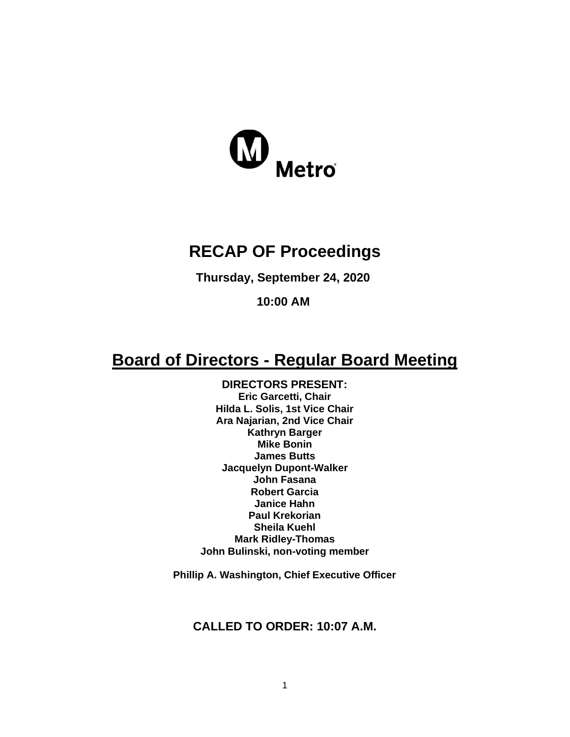

# **RECAP OF Proceedings**

**Thursday, September 24, 2020**

**10:00 AM**

# **Board of Directors - Regular Board Meeting**

**DIRECTORS PRESENT: Eric Garcetti, Chair Hilda L. Solis, 1st Vice Chair Ara Najarian, 2nd Vice Chair Kathryn Barger Mike Bonin James Butts Jacquelyn Dupont-Walker John Fasana Robert Garcia Janice Hahn Paul Krekorian Sheila Kuehl Mark Ridley-Thomas John Bulinski, non-voting member**

**Phillip A. Washington, Chief Executive Officer**

**CALLED TO ORDER: 10:07 A.M.**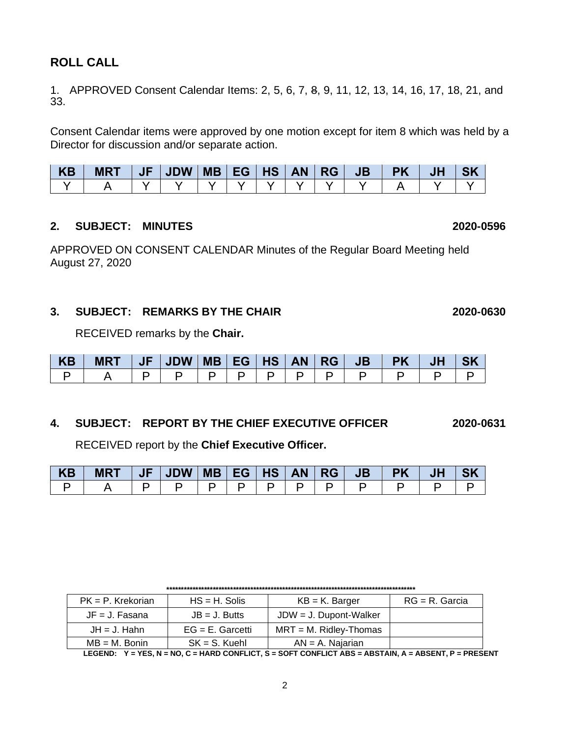# **ROLL CALL**

1. APPROVED Consent Calendar Items: 2, 5, 6, 7, 8, 9, 11, 12, 13, 14, 16, 17, 18, 21, and 33.

Consent Calendar items were approved by one motion except for item 8 which was held by a Director for discussion and/or separate action.

| <b>KB</b> | <b>MRT</b> | $ $ JF $ $ JDW $ $ MB $ $ EG $ $ HS $ $ AN $ $ RG $ $ |  |  |  | JB PK | JH |  |
|-----------|------------|-------------------------------------------------------|--|--|--|-------|----|--|
|           |            |                                                       |  |  |  |       |    |  |

#### **2. SUBJECT: MINUTES 2020-0596**

APPROVED ON CONSENT CALENDAR Minutes of the Regular Board Meeting held August 27, 2020

### **3. SUBJECT: REMARKS BY THE CHAIR 2020-0630**

RECEIVED remarks by the **Chair.**

| KB | <b>MRT</b> | <b>JF</b> | JDW | MB   EG   HS   AN |  | ' RG ∣ | JB' | <b>PK</b> | J <sub>F</sub> |  |
|----|------------|-----------|-----|-------------------|--|--------|-----|-----------|----------------|--|
|    |            |           |     |                   |  |        |     |           |                |  |

### **4. SUBJECT: REPORT BY THE CHIEF EXECUTIVE OFFICER 2020-0631**

RECEIVED report by the **Chief Executive Officer.** 

| <b>KB</b> | <b>MRT</b> | JF | JDW   MB   EG |  | HS | AN | RG | JB' | PK |  |
|-----------|------------|----|---------------|--|----|----|----|-----|----|--|
|           |            |    |               |  |    |    |    |     |    |  |

| $PK = P$ . Krekorian | $HS = H$ . Solis    | $KB = K$ . Barger         | $RG = R$ . Garcia |
|----------------------|---------------------|---------------------------|-------------------|
| $JF = J. Fasana$     | $JB = J.$ Butts     | $JDW = J$ . Dupont-Walker |                   |
| $JH = J$ . Hahn      | $EG = E$ . Garcetti | $MRT = M$ . Ridley-Thomas |                   |
| $MB = M$ . Bonin     | $SK = S$ . Kuehl    | $AN = A$ . Najarian       |                   |

**\*\*\*\*\*\*\*\*\*\*\*\*\*\*\*\*\*\*\*\*\*\*\*\*\*\*\*\*\*\*\*\*\*\*\*\*\*\*\*\*\*\*\*\*\*\*\*\*\*\*\*\*\*\*\*\*\*\*\*\*\*\*\*\*\*\*\*\*\*\*\*\*\*\*\*\*\*\*\*\*\*\*\*\*\*\***

**LEGEND: Y = YES, N = NO, C = HARD CONFLICT, S = SOFT CONFLICT ABS = ABSTAIN, A = ABSENT, P = PRESENT**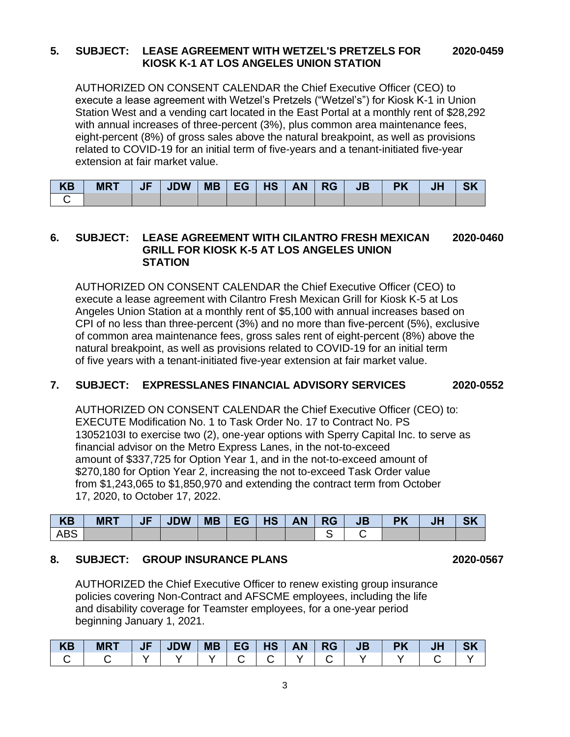#### **5. SUBJECT: LEASE AGREEMENT WITH WETZEL'S PRETZELS FOR 2020-0459 KIOSK K-1 AT LOS ANGELES UNION STATION**

AUTHORIZED ON CONSENT CALENDAR the Chief Executive Officer (CEO) to execute a lease agreement with Wetzel's Pretzels ("Wetzel's") for Kiosk K-1 in Union Station West and a vending cart located in the East Portal at a monthly rent of \$28,292 with annual increases of three-percent (3%), plus common area maintenance fees, eight-percent (8%) of gross sales above the natural breakpoint, as well as provisions related to COVID-19 for an initial term of five-years and a tenant-initiated five-year extension at fair market value.

| <b>KB</b> | <b>MRT</b> | <b>JDW</b> | <b>MB</b> | EG I | <b>HS</b> | AN | $\overline{\phantom{a}}$ RG | <b>JB</b> | <b>PK</b> | JI |  |
|-----------|------------|------------|-----------|------|-----------|----|-----------------------------|-----------|-----------|----|--|
|           |            |            |           |      |           |    |                             |           |           |    |  |

#### **6. SUBJECT: LEASE AGREEMENT WITH CILANTRO FRESH MEXICAN 2020-0460 GRILL FOR KIOSK K-5 AT LOS ANGELES UNION STATION**

AUTHORIZED ON CONSENT CALENDAR the Chief Executive Officer (CEO) to execute a lease agreement with Cilantro Fresh Mexican Grill for Kiosk K-5 at Los Angeles Union Station at a monthly rent of \$5,100 with annual increases based on CPI of no less than three-percent (3%) and no more than five-percent (5%), exclusive of common area maintenance fees, gross sales rent of eight-percent (8%) above the natural breakpoint, as well as provisions related to COVID-19 for an initial term of five years with a tenant-initiated five-year extension at fair market value.

### **7. SUBJECT: EXPRESSLANES FINANCIAL ADVISORY SERVICES 2020-0552**

AUTHORIZED ON CONSENT CALENDAR the Chief Executive Officer (CEO) to: EXECUTE Modification No. 1 to Task Order No. 17 to Contract No. PS 13052103I to exercise two (2), one-year options with Sperry Capital Inc. to serve as financial advisor on the Metro Express Lanes, in the not-to-exceed amount of \$337,725 for Option Year 1, and in the not-to-exceed amount of \$270,180 for Option Year 2, increasing the not to-exceed Task Order value from \$1,243,065 to \$1,850,970 and extending the contract term from October 17, 2020, to October 17, 2022.

| <b>KB</b>  | <b>MRT</b> | $\parallel$ JF $\parallel$ JDW $\parallel$ |  |  | JB | <b>PK</b> |  |
|------------|------------|--------------------------------------------|--|--|----|-----------|--|
| <b>ABS</b> |            |                                            |  |  |    |           |  |

### **8. SUBJECT: GROUP INSURANCE PLANS 2020-0567**

AUTHORIZED the Chief Executive Officer to renew existing group insurance policies covering Non-Contract and AFSCME employees, including the life and disability coverage for Teamster employees, for a one-year period beginning January 1, 2021.

| <b>KB</b> | <b>MR1</b> | JF | <b>JDW</b> | <b>MB</b> | EG | HS | AN | <b>RG</b> | <b>JB</b> | <b>DV</b> | ωr | $\sim$ $\prime$ |
|-----------|------------|----|------------|-----------|----|----|----|-----------|-----------|-----------|----|-----------------|
|           |            |    |            |           |    |    |    |           |           |           |    |                 |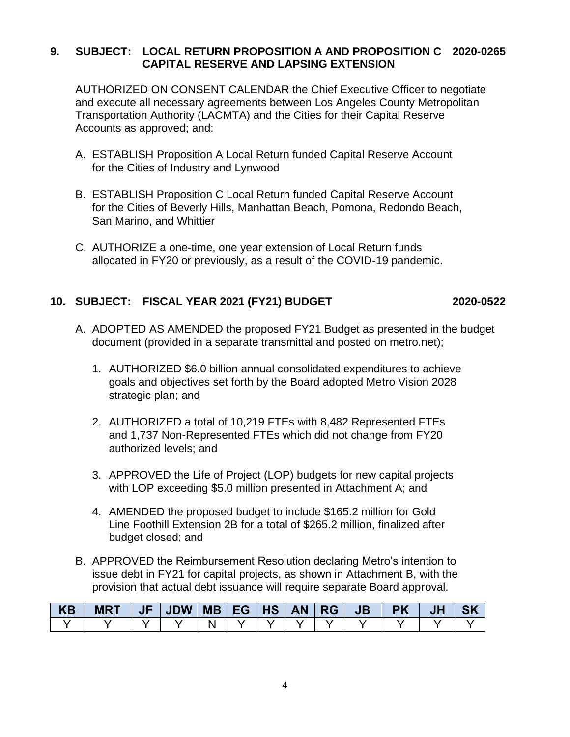### **9. SUBJECT: LOCAL RETURN PROPOSITION A AND PROPOSITION C 2020-0265 CAPITAL RESERVE AND LAPSING EXTENSION**

AUTHORIZED ON CONSENT CALENDAR the Chief Executive Officer to negotiate and execute all necessary agreements between Los Angeles County Metropolitan Transportation Authority (LACMTA) and the Cities for their Capital Reserve Accounts as approved; and:

- A. ESTABLISH Proposition A Local Return funded Capital Reserve Account for the Cities of Industry and Lynwood
- B. ESTABLISH Proposition C Local Return funded Capital Reserve Account for the Cities of Beverly Hills, Manhattan Beach, Pomona, Redondo Beach, San Marino, and Whittier
- C. AUTHORIZE a one-time, one year extension of Local Return funds allocated in FY20 or previously, as a result of the COVID-19 pandemic.

# **10. SUBJECT: FISCAL YEAR 2021 (FY21) BUDGET 2020-0522**

- A. ADOPTED AS AMENDED the proposed FY21 Budget as presented in the budget document (provided in a separate transmittal and posted on metro.net);
	- 1. AUTHORIZED \$6.0 billion annual consolidated expenditures to achieve goals and objectives set forth by the Board adopted Metro Vision 2028 strategic plan; and
	- 2. AUTHORIZED a total of 10,219 FTEs with 8,482 Represented FTEs and 1,737 Non-Represented FTEs which did not change from FY20 authorized levels; and
	- 3. APPROVED the Life of Project (LOP) budgets for new capital projects with LOP exceeding \$5.0 million presented in Attachment A; and
	- 4. AMENDED the proposed budget to include \$165.2 million for Gold Line Foothill Extension 2B for a total of \$265.2 million, finalized after budget closed; and
- B. APPROVED the Reimbursement Resolution declaring Metro's intention to issue debt in FY21 for capital projects, as shown in Attachment B, with the provision that actual debt issuance will require separate Board approval.

| <b>KB</b> | <b>MRT</b> | $J$ $F$ |  |  |  | JB | <b>PK</b> |  |
|-----------|------------|---------|--|--|--|----|-----------|--|
|           |            |         |  |  |  |    |           |  |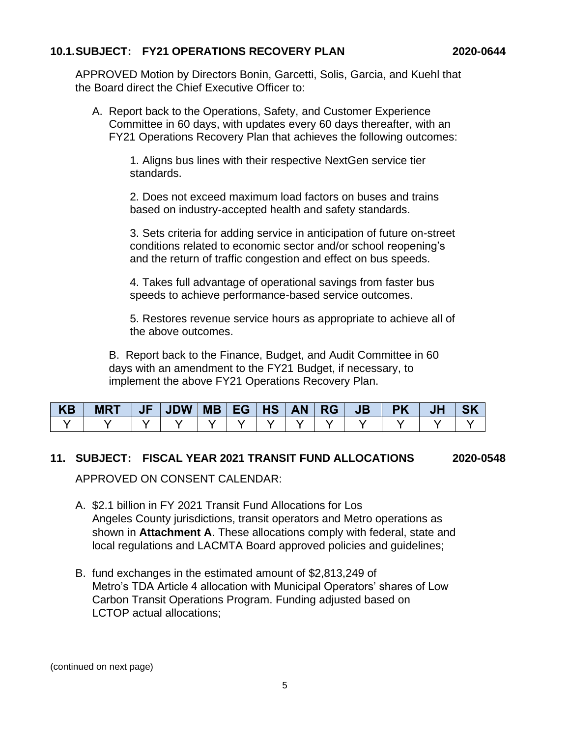### **10.1.SUBJECT: FY21 OPERATIONS RECOVERY PLAN 2020-0644**

APPROVED Motion by Directors Bonin, Garcetti, Solis, Garcia, and Kuehl that the Board direct the Chief Executive Officer to:

A. Report back to the Operations, Safety, and Customer Experience Committee in 60 days, with updates every 60 days thereafter, with an FY21 Operations Recovery Plan that achieves the following outcomes:

> 1. Aligns bus lines with their respective NextGen service tier standards.

2. Does not exceed maximum load factors on buses and trains based on industry-accepted health and safety standards.

3. Sets criteria for adding service in anticipation of future on-street conditions related to economic sector and/or school reopening's and the return of traffic congestion and effect on bus speeds.

4. Takes full advantage of operational savings from faster bus speeds to achieve performance-based service outcomes.

5. Restores revenue service hours as appropriate to achieve all of the above outcomes.

B. Report back to the Finance, Budget, and Audit Committee in 60 days with an amendment to the FY21 Budget, if necessary, to implement the above FY21 Operations Recovery Plan.

| <b>KB</b> | <b>MRT</b> | JF' | JDW |  |  | JB' | <b>PK</b> | JH | <b>SK</b> |
|-----------|------------|-----|-----|--|--|-----|-----------|----|-----------|
|           |            |     |     |  |  |     |           |    |           |

### **11. SUBJECT: FISCAL YEAR 2021 TRANSIT FUND ALLOCATIONS 2020-0548**

APPROVED ON CONSENT CALENDAR:

- A. \$2.1 billion in FY 2021 Transit Fund Allocations for Los Angeles County jurisdictions, transit operators and Metro operations as shown in **Attachment A**. These allocations comply with federal, state and local regulations and LACMTA Board approved policies and guidelines;
- B. fund exchanges in the estimated amount of \$2,813,249 of Metro's TDA Article 4 allocation with Municipal Operators' shares of Low Carbon Transit Operations Program. Funding adjusted based on LCTOP actual allocations;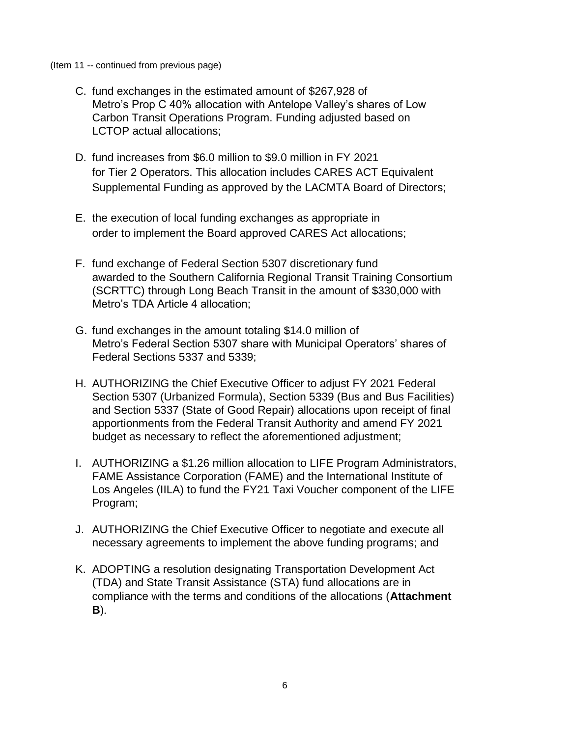#### (Item 11 -- continued from previous page)

- C. fund exchanges in the estimated amount of \$267,928 of Metro's Prop C 40% allocation with Antelope Valley's shares of Low Carbon Transit Operations Program. Funding adjusted based on LCTOP actual allocations;
- D. fund increases from \$6.0 million to \$9.0 million in FY 2021 for Tier 2 Operators. This allocation includes CARES ACT Equivalent Supplemental Funding as approved by the LACMTA Board of Directors;
- E. the execution of local funding exchanges as appropriate in order to implement the Board approved CARES Act allocations;
- F. fund exchange of Federal Section 5307 discretionary fund awarded to the Southern California Regional Transit Training Consortium (SCRTTC) through Long Beach Transit in the amount of \$330,000 with Metro's TDA Article 4 allocation;
- G. fund exchanges in the amount totaling \$14.0 million of Metro's Federal Section 5307 share with Municipal Operators' shares of Federal Sections 5337 and 5339;
- H. AUTHORIZING the Chief Executive Officer to adjust FY 2021 Federal Section 5307 (Urbanized Formula), Section 5339 (Bus and Bus Facilities) and Section 5337 (State of Good Repair) allocations upon receipt of final apportionments from the Federal Transit Authority and amend FY 2021 budget as necessary to reflect the aforementioned adjustment;
- I. AUTHORIZING a \$1.26 million allocation to LIFE Program Administrators, FAME Assistance Corporation (FAME) and the International Institute of Los Angeles (IILA) to fund the FY21 Taxi Voucher component of the LIFE Program;
- J. AUTHORIZING the Chief Executive Officer to negotiate and execute all necessary agreements to implement the above funding programs; and
- K. ADOPTING a resolution designating Transportation Development Act (TDA) and State Transit Assistance (STA) fund allocations are in compliance with the terms and conditions of the allocations (**Attachment B**).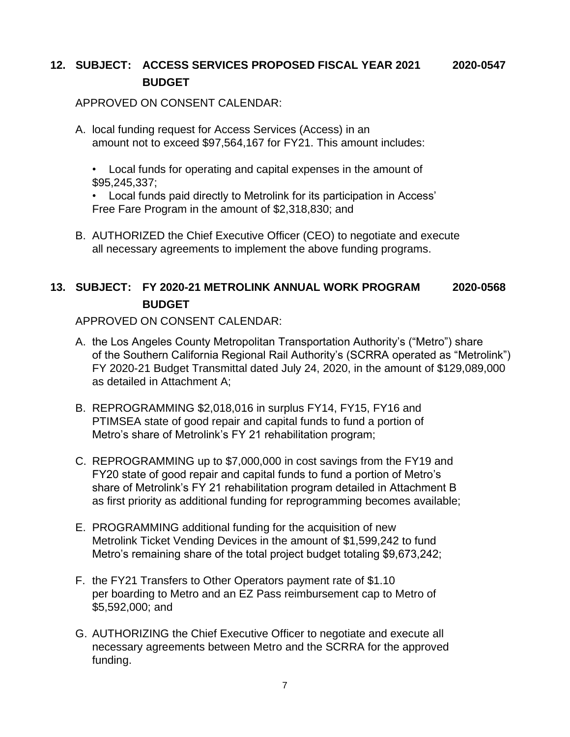# **12. SUBJECT: ACCESS SERVICES PROPOSED FISCAL YEAR 2021 2020-0547 BUDGET**

### APPROVED ON CONSENT CALENDAR:

A. local funding request for Access Services (Access) in an amount not to exceed \$97,564,167 for FY21. This amount includes:

• Local funds for operating and capital expenses in the amount of \$95,245,337;

• Local funds paid directly to Metrolink for its participation in Access' Free Fare Program in the amount of \$2,318,830; and

B. AUTHORIZED the Chief Executive Officer (CEO) to negotiate and execute all necessary agreements to implement the above funding programs.

# **13. SUBJECT: FY 2020-21 METROLINK ANNUAL WORK PROGRAM 2020-0568 BUDGET**

APPROVED ON CONSENT CALENDAR:

- A. the Los Angeles County Metropolitan Transportation Authority's ("Metro") share of the Southern California Regional Rail Authority's (SCRRA operated as "Metrolink") FY 2020-21 Budget Transmittal dated July 24, 2020, in the amount of \$129,089,000 as detailed in Attachment A;
- B. REPROGRAMMING \$2,018,016 in surplus FY14, FY15, FY16 and PTIMSEA state of good repair and capital funds to fund a portion of Metro's share of Metrolink's FY 21 rehabilitation program;
- C. REPROGRAMMING up to \$7,000,000 in cost savings from the FY19 and FY20 state of good repair and capital funds to fund a portion of Metro's share of Metrolink's FY 21 rehabilitation program detailed in Attachment B as first priority as additional funding for reprogramming becomes available;
- E. PROGRAMMING additional funding for the acquisition of new Metrolink Ticket Vending Devices in the amount of \$1,599,242 to fund Metro's remaining share of the total project budget totaling \$9,673,242;
- F. the FY21 Transfers to Other Operators payment rate of \$1.10 per boarding to Metro and an EZ Pass reimbursement cap to Metro of \$5,592,000; and
- G. AUTHORIZING the Chief Executive Officer to negotiate and execute all necessary agreements between Metro and the SCRRA for the approved funding.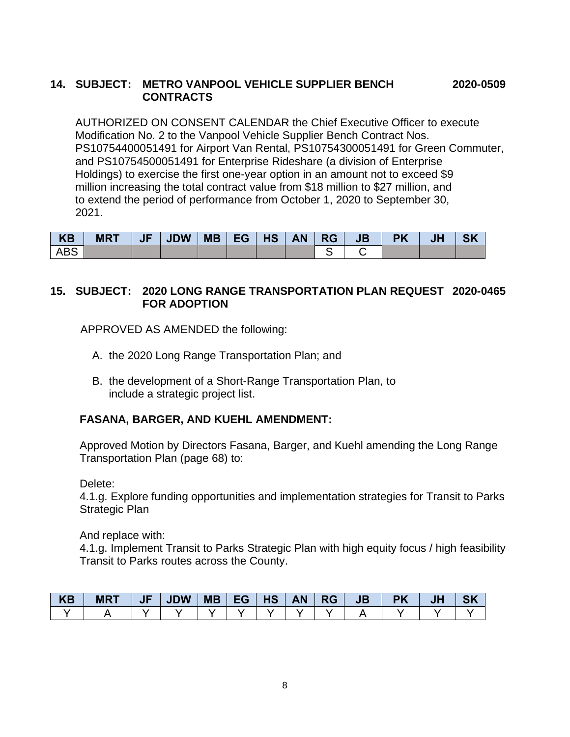### **14. SUBJECT: METRO VANPOOL VEHICLE SUPPLIER BENCH 2020-0509 CONTRACTS**

AUTHORIZED ON CONSENT CALENDAR the Chief Executive Officer to execute Modification No. 2 to the Vanpool Vehicle Supplier Bench Contract Nos. PS10754400051491 for Airport Van Rental, PS10754300051491 for Green Commuter, and PS10754500051491 for Enterprise Rideshare (a division of Enterprise Holdings) to exercise the first one-year option in an amount not to exceed \$9 million increasing the total contract value from \$18 million to \$27 million, and to extend the period of performance from October 1, 2020 to September 30, 2021.

| KB         | <b>MRT</b> | <b>JF7</b> | <b>JDW</b> | <b>MB</b> EG | HS AN | <b>RG</b> | <b>JB</b> | <b>PK</b> | <b>JH</b> | <b>SK</b> |
|------------|------------|------------|------------|--------------|-------|-----------|-----------|-----------|-----------|-----------|
| <b>ABS</b> |            |            |            |              |       |           |           |           |           |           |

### **15. SUBJECT: 2020 LONG RANGE TRANSPORTATION PLAN REQUEST 2020-0465 FOR ADOPTION**

APPROVED AS AMENDED the following:

- A. the 2020 Long Range Transportation Plan; and
- B. the development of a Short-Range Transportation Plan, to include a strategic project list.

# **FASANA, BARGER, AND KUEHL AMENDMENT:**

Approved Motion by Directors Fasana, Barger, and Kuehl amending the Long Range Transportation Plan (page 68) to:

Delete:

4.1.g. Explore funding opportunities and implementation strategies for Transit to Parks Strategic Plan

And replace with:

4.1.g. Implement Transit to Parks Strategic Plan with high equity focus / high feasibility Transit to Parks routes across the County.

| <b>KB</b> | <b>MRT</b> | JF | <b>JDW</b> | <b>MB</b> | - -<br>TG. | HS | <b>AN</b> | <b>RG</b> | JB | JF | CIZ |
|-----------|------------|----|------------|-----------|------------|----|-----------|-----------|----|----|-----|
|           |            |    |            |           |            |    |           |           |    |    |     |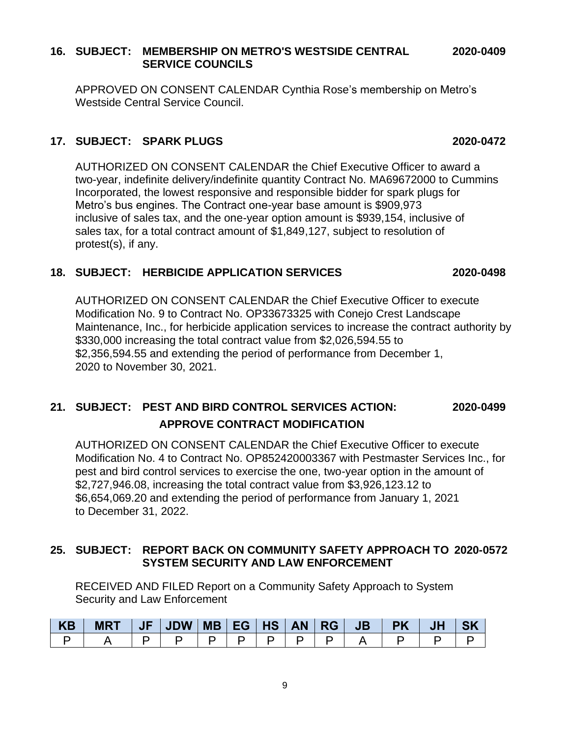#### 9

#### **16. SUBJECT: MEMBERSHIP ON METRO'S WESTSIDE CENTRAL 2020-0409 SERVICE COUNCILS**

APPROVED ON CONSENT CALENDAR Cynthia Rose's membership on Metro's Westside Central Service Council.

## **17. SUBJECT: SPARK PLUGS 2020-0472**

AUTHORIZED ON CONSENT CALENDAR the Chief Executive Officer to award a two-year, indefinite delivery/indefinite quantity Contract No. MA69672000 to Cummins Incorporated, the lowest responsive and responsible bidder for spark plugs for Metro's bus engines. The Contract one-year base amount is \$909,973 inclusive of sales tax, and the one-year option amount is \$939,154, inclusive of sales tax, for a total contract amount of \$1,849,127, subject to resolution of protest(s), if any.

### **18. SUBJECT: HERBICIDE APPLICATION SERVICES 2020-0498**

AUTHORIZED ON CONSENT CALENDAR the Chief Executive Officer to execute Modification No. 9 to Contract No. OP33673325 with Conejo Crest Landscape Maintenance, Inc., for herbicide application services to increase the contract authority by \$330,000 increasing the total contract value from \$2,026,594.55 to \$2,356,594.55 and extending the period of performance from December 1, 2020 to November 30, 2021.

# **21. SUBJECT: PEST AND BIRD CONTROL SERVICES ACTION: 2020-0499 APPROVE CONTRACT MODIFICATION**

AUTHORIZED ON CONSENT CALENDAR the Chief Executive Officer to execute Modification No. 4 to Contract No. OP852420003367 with Pestmaster Services Inc., for pest and bird control services to exercise the one, two-year option in the amount of \$2,727,946.08, increasing the total contract value from \$3,926,123.12 to \$6,654,069.20 and extending the period of performance from January 1, 2021 to December 31, 2022.

### **25. SUBJECT: REPORT BACK ON COMMUNITY SAFETY APPROACH TO 2020-0572 SYSTEM SECURITY AND LAW ENFORCEMENT**

RECEIVED AND FILED Report on a Community Safety Approach to System Security and Law Enforcement

| <b>KB</b> | <b>MRT</b> |  |  |  | <b>JB</b> | <b>PK</b> | JF |  |
|-----------|------------|--|--|--|-----------|-----------|----|--|
|           |            |  |  |  |           |           |    |  |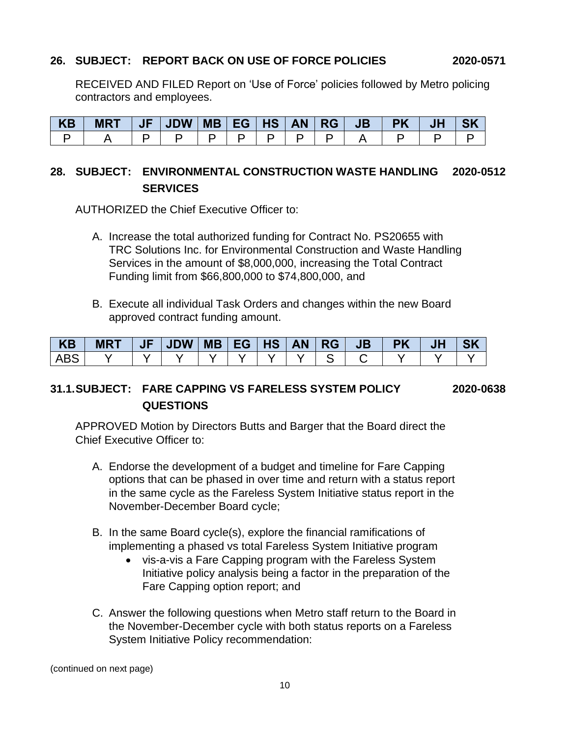#### **26. SUBJECT: REPORT BACK ON USE OF FORCE POLICIES 2020-0571**

RECEIVED AND FILED Report on 'Use of Force' policies followed by Metro policing contractors and employees.

| <b>KB</b> | <b>MRT</b> | JF | JDW | MB   EG   HS | <b>AN</b> | JВ |  |  |
|-----------|------------|----|-----|--------------|-----------|----|--|--|
|           |            |    |     |              |           |    |  |  |

# **28. SUBJECT: ENVIRONMENTAL CONSTRUCTION WASTE HANDLING 2020-0512 SERVICES**

AUTHORIZED the Chief Executive Officer to:

- A. Increase the total authorized funding for Contract No. PS20655 with TRC Solutions Inc. for Environmental Construction and Waste Handling Services in the amount of \$8,000,000, increasing the Total Contract Funding limit from \$66,800,000 to \$74,800,000, and
- B. Execute all individual Task Orders and changes within the new Board approved contract funding amount.

| <b>KB</b> | <b>MRT</b> | $\sqrt{F}$ | JDW |  | MB EG HS | <b>AN</b> | RG | JB | <b>PK</b> | JH | <b>SK</b> |
|-----------|------------|------------|-----|--|----------|-----------|----|----|-----------|----|-----------|
| ABS       |            |            |     |  |          |           |    |    |           |    |           |

# **31.1.SUBJECT: FARE CAPPING VS FARELESS SYSTEM POLICY 2020-0638 QUESTIONS**

APPROVED Motion by Directors Butts and Barger that the Board direct the Chief Executive Officer to:

- A. Endorse the development of a budget and timeline for Fare Capping options that can be phased in over time and return with a status report in the same cycle as the Fareless System Initiative status report in the November-December Board cycle;
- B. In the same Board cycle(s), explore the financial ramifications of implementing a phased vs total Fareless System Initiative program
	- vis-a-vis a Fare Capping program with the Fareless System Initiative policy analysis being a factor in the preparation of the Fare Capping option report; and
- C. Answer the following questions when Metro staff return to the Board in the November-December cycle with both status reports on a Fareless System Initiative Policy recommendation:

(continued on next page)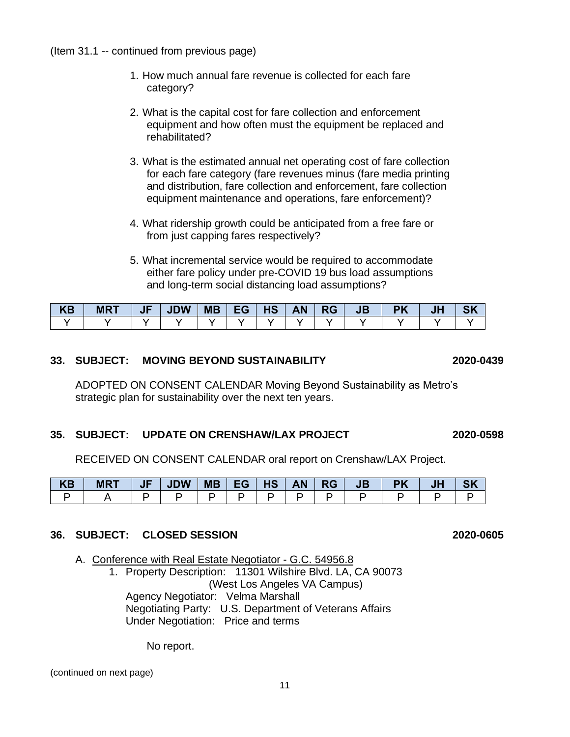(Item 31.1 -- continued from previous page)

- 1. How much annual fare revenue is collected for each fare category?
- 2. What is the capital cost for fare collection and enforcement equipment and how often must the equipment be replaced and rehabilitated?
- 3. What is the estimated annual net operating cost of fare collection for each fare category (fare revenues minus (fare media printing and distribution, fare collection and enforcement, fare collection equipment maintenance and operations, fare enforcement)?
- 4. What ridership growth could be anticipated from a free fare or from just capping fares respectively?
- 5. What incremental service would be required to accommodate either fare policy under pre-COVID 19 bus load assumptions and long-term social distancing load assumptions?

| <b>KB</b> | <b>MRT</b> | n Ji | <b>JDW</b> | <b>MB</b> | EG | <b>HS</b> | <b>AN</b> | <b>RG</b> | $J\mathbf{B}$ |  |  |
|-----------|------------|------|------------|-----------|----|-----------|-----------|-----------|---------------|--|--|
|           |            |      |            |           |    |           |           |           |               |  |  |

#### **33. SUBJECT: MOVING BEYOND SUSTAINABILITY 2020-0439**

ADOPTED ON CONSENT CALENDAR Moving Beyond Sustainability as Metro's strategic plan for sustainability over the next ten years.

#### **35. SUBJECT: UPDATE ON CRENSHAW/LAX PROJECT 2020-0598**

RECEIVED ON CONSENT CALENDAR oral report on Crenshaw/LAX Project.

| <b>KB</b> | <b>MRT</b> | JF | <b>JDW</b> | <b>MB</b> | $\sqrt{EG}$ | <b>HS</b> | <b>AN</b> | <b>RG</b> | JB |  | <b>QK</b> |
|-----------|------------|----|------------|-----------|-------------|-----------|-----------|-----------|----|--|-----------|
|           |            |    |            |           |             |           |           |           |    |  |           |

#### **36. SUBJECT: CLOSED SESSION 2020-0605**

A. Conference with Real Estate Negotiator - G.C. 54956.8

1. Property Description: 11301 Wilshire Blvd. LA, CA 90073 (West Los Angeles VA Campus) Agency Negotiator: Velma Marshall Negotiating Party: U.S. Department of Veterans Affairs Under Negotiation: Price and terms

No report.

(continued on next page)